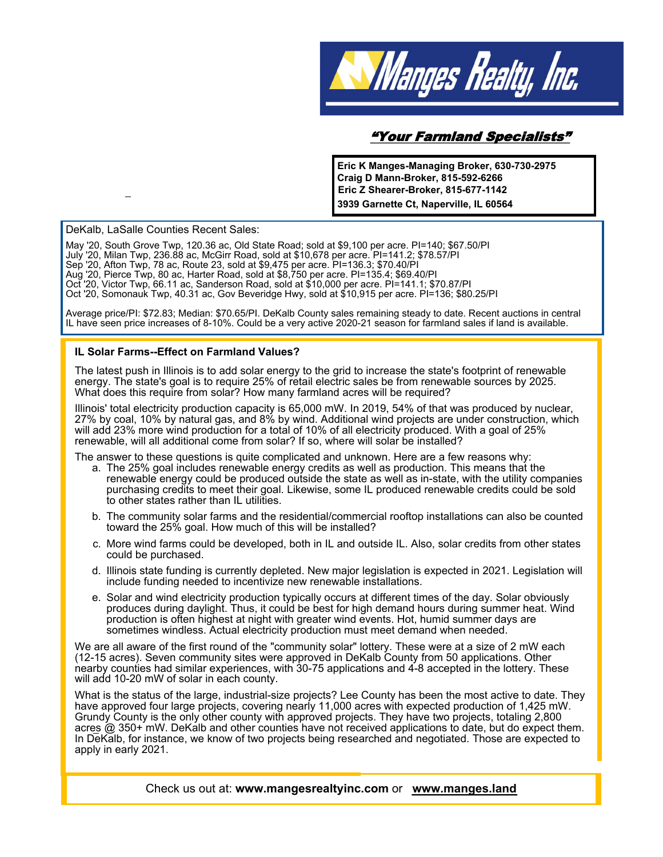

## "Your Farmland Specialists"

**Eric K Manges-Managing Broker, 630-730-2975 Craig D Mann-Broker, 815-592-6266 Eric Z Shearer-Broker, 815-677-1142 3939 Garnette Ct, Naperville, IL 60564** 



Check us out at: **www.mangesrealtyinc.com** or **www.manges.land**